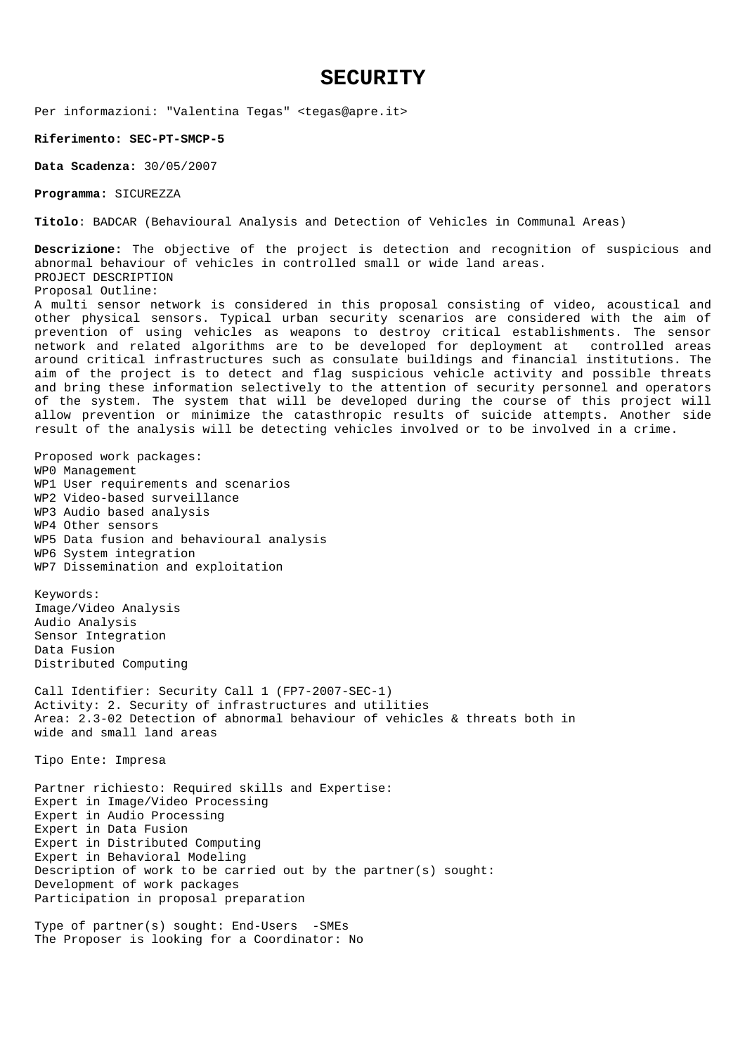# **SECURITY**

Per informazioni: "Valentina Tegas" <tegas@apre.it>

**Riferimento: SEC-PT-SMCP-5** 

**Data Scadenza:** 30/05/2007

**Programma:** SICUREZZA

**Titolo**: BADCAR (Behavioural Analysis and Detection of Vehicles in Communal Areas)

**Descrizione:** The objective of the project is detection and recognition of suspicious and abnormal behaviour of vehicles in controlled small or wide land areas. PROJECT DESCRIPTION Proposal Outline: A multi sensor network is considered in this proposal consisting of video, acoustical and other physical sensors. Typical urban security scenarios are considered with the aim of

prevention of using vehicles as weapons to destroy critical establishments. The sensor network and related algorithms are to be developed for deployment at controlled areas around critical infrastructures such as consulate buildings and financial institutions. The aim of the project is to detect and flag suspicious vehicle activity and possible threats and bring these information selectively to the attention of security personnel and operators of the system. The system that will be developed during the course of this project will allow prevention or minimize the catasthropic results of suicide attempts. Another side result of the analysis will be detecting vehicles involved or to be involved in a crime.

Proposed work packages: WP0 Management WP1 User requirements and scenarios WP2 Video-based surveillance WP3 Audio based analysis WP4 Other sensors WP5 Data fusion and behavioural analysis WP6 System integration WP7 Dissemination and exploitation

Keywords: Image/Video Analysis Audio Analysis Sensor Integration Data Fusion Distributed Computing

Call Identifier: Security Call 1 (FP7-2007-SEC-1) Activity: 2. Security of infrastructures and utilities Area: 2.3-02 Detection of abnormal behaviour of vehicles & threats both in wide and small land areas

Tipo Ente: Impresa

Partner richiesto: Required skills and Expertise: Expert in Image/Video Processing Expert in Audio Processing Expert in Data Fusion Expert in Distributed Computing Expert in Behavioral Modeling Description of work to be carried out by the partner(s) sought: Development of work packages Participation in proposal preparation

Type of partner(s) sought: End-Users -SMEs The Proposer is looking for a Coordinator: No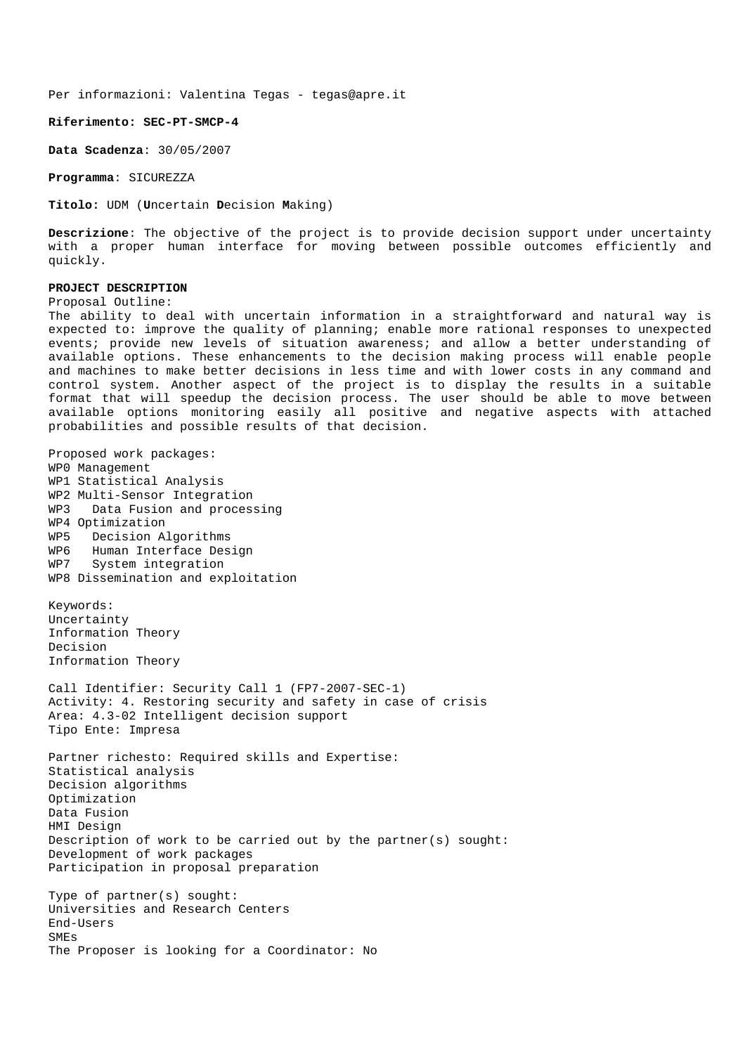### **Riferimento: SEC-PT-SMCP-4**

**Data Scadenza**: 30/05/2007

**Programma**: SICUREZZA

**Titolo:** UDM (**U**ncertain **D**ecision **M**aking)

**Descrizione**: The objective of the project is to provide decision support under uncertainty with a proper human interface for moving between possible outcomes efficiently and quickly.

## **PROJECT DESCRIPTION**

Proposal Outline:

The ability to deal with uncertain information in a straightforward and natural way is expected to: improve the quality of planning; enable more rational responses to unexpected events; provide new levels of situation awareness; and allow a better understanding of available options. These enhancements to the decision making process will enable people and machines to make better decisions in less time and with lower costs in any command and control system. Another aspect of the project is to display the results in a suitable format that will speedup the decision process. The user should be able to move between available options monitoring easily all positive and negative aspects with attached probabilities and possible results of that decision.

Proposed work packages: WP0 Management WP1 Statistical Analysis WP2 Multi-Sensor Integration WP3 Data Fusion and processing WP4 Optimization WP5 Decision Algorithms WP6 Human Interface Design WP7 System integration WP8 Dissemination and exploitation Keywords: Uncertainty Information Theory Decision Information Theory Call Identifier: Security Call 1 (FP7-2007-SEC-1) Activity: 4. Restoring security and safety in case of crisis Area: 4.3-02 Intelligent decision support Tipo Ente: Impresa Partner richesto: Required skills and Expertise: Statistical analysis Decision algorithms Optimization Data Fusion HMI Design Description of work to be carried out by the partner(s) sought: Development of work packages Participation in proposal preparation Type of partner(s) sought: Universities and Research Centers End-Users SMEs The Proposer is looking for a Coordinator: No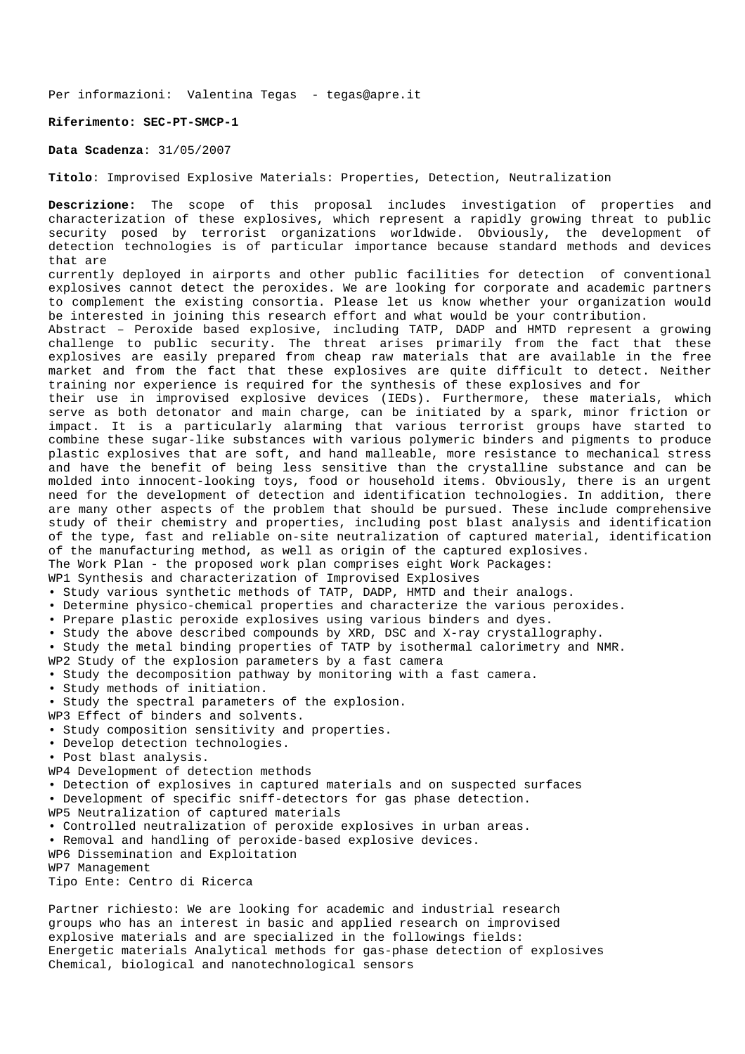#### **Riferimento: SEC-PT-SMCP-1**

**Data Scadenza**: 31/05/2007

**Titolo**: Improvised Explosive Materials: Properties, Detection, Neutralization

**Descrizione:** The scope of this proposal includes investigation of properties and characterization of these explosives, which represent a rapidly growing threat to public security posed by terrorist organizations worldwide. Obviously, the development of detection technologies is of particular importance because standard methods and devices that are currently deployed in airports and other public facilities for detection of conventional explosives cannot detect the peroxides. We are looking for corporate and academic partners to complement the existing consortia. Please let us know whether your organization would be interested in joining this research effort and what would be your contribution. Abstract – Peroxide based explosive, including TATP, DADP and HMTD represent a growing challenge to public security. The threat arises primarily from the fact that these explosives are easily prepared from cheap raw materials that are available in the free market and from the fact that these explosives are quite difficult to detect. Neither training nor experience is required for the synthesis of these explosives and for their use in improvised explosive devices (IEDs). Furthermore, these materials, which serve as both detonator and main charge, can be initiated by a spark, minor friction or impact. It is a particularly alarming that various terrorist groups have started to combine these sugar-like substances with various polymeric binders and pigments to produce plastic explosives that are soft, and hand malleable, more resistance to mechanical stress and have the benefit of being less sensitive than the crystalline substance and can be molded into innocent-looking toys, food or household items. Obviously, there is an urgent need for the development of detection and identification technologies. In addition, there are many other aspects of the problem that should be pursued. These include comprehensive study of their chemistry and properties, including post blast analysis and identification of the type, fast and reliable on-site neutralization of captured material, identification of the manufacturing method, as well as origin of the captured explosives. The Work Plan - the proposed work plan comprises eight Work Packages: WP1 Synthesis and characterization of Improvised Explosives • Study various synthetic methods of TATP, DADP, HMTD and their analogs. • Determine physico-chemical properties and characterize the various peroxides. • Prepare plastic peroxide explosives using various binders and dyes. • Study the above described compounds by XRD, DSC and X-ray crystallography. • Study the metal binding properties of TATP by isothermal calorimetry and NMR. WP2 Study of the explosion parameters by a fast camera • Study the decomposition pathway by monitoring with a fast camera. • Study methods of initiation. • Study the spectral parameters of the explosion. WP3 Effect of binders and solvents. • Study composition sensitivity and properties. • Develop detection technologies. • Post blast analysis. WP4 Development of detection methods • Detection of explosives in captured materials and on suspected surfaces • Development of specific sniff-detectors for gas phase detection. WP5 Neutralization of captured materials • Controlled neutralization of peroxide explosives in urban areas. • Removal and handling of peroxide-based explosive devices. WP6 Dissemination and Exploitation WP7 Management Tipo Ente: Centro di Ricerca

Partner richiesto: We are looking for academic and industrial research groups who has an interest in basic and applied research on improvised explosive materials and are specialized in the followings fields: Energetic materials Analytical methods for gas-phase detection of explosives Chemical, biological and nanotechnological sensors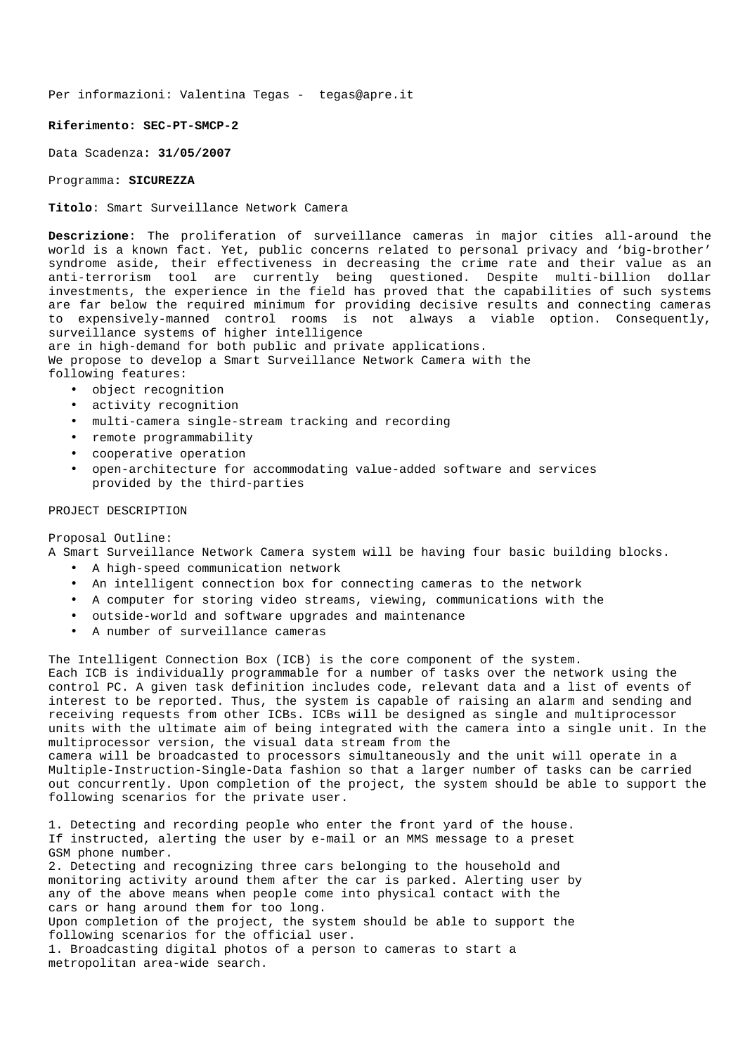#### **Riferimento: SEC-PT-SMCP-2**

Data Scadenza**: 31/05/2007** 

#### Programma**: SICUREZZA**

**Titolo**: Smart Surveillance Network Camera

**Descrizione**: The proliferation of surveillance cameras in major cities all-around the world is a known fact. Yet, public concerns related to personal privacy and 'big-brother' syndrome aside, their effectiveness in decreasing the crime rate and their value as an anti-terrorism tool are currently being questioned. Despite multi-billion dollar investments, the experience in the field has proved that the capabilities of such systems are far below the required minimum for providing decisive results and connecting cameras to expensively-manned control rooms is not always a viable option. Consequently, surveillance systems of higher intelligence

are in high-demand for both public and private applications. We propose to develop a Smart Surveillance Network Camera with the following features:

- object recognition
- activity recognition
- multi-camera single-stream tracking and recording
- remote programmability
- cooperative operation
- open-architecture for accommodating value-added software and services provided by the third-parties

## PROJECT DESCRIPTION

Proposal Outline:

A Smart Surveillance Network Camera system will be having four basic building blocks.

- A high-speed communication network
- An intelligent connection box for connecting cameras to the network
- A computer for storing video streams, viewing, communications with the
- outside-world and software upgrades and maintenance
- A number of surveillance cameras

The Intelligent Connection Box (ICB) is the core component of the system.

Each ICB is individually programmable for a number of tasks over the network using the control PC. A given task definition includes code, relevant data and a list of events of interest to be reported. Thus, the system is capable of raising an alarm and sending and receiving requests from other ICBs. ICBs will be designed as single and multiprocessor units with the ultimate aim of being integrated with the camera into a single unit. In the multiprocessor version, the visual data stream from the

camera will be broadcasted to processors simultaneously and the unit will operate in a Multiple-Instruction-Single-Data fashion so that a larger number of tasks can be carried out concurrently. Upon completion of the project, the system should be able to support the following scenarios for the private user.

1. Detecting and recording people who enter the front yard of the house. If instructed, alerting the user by e-mail or an MMS message to a preset GSM phone number.

2. Detecting and recognizing three cars belonging to the household and monitoring activity around them after the car is parked. Alerting user by any of the above means when people come into physical contact with the cars or hang around them for too long.

Upon completion of the project, the system should be able to support the following scenarios for the official user.

1. Broadcasting digital photos of a person to cameras to start a metropolitan area-wide search.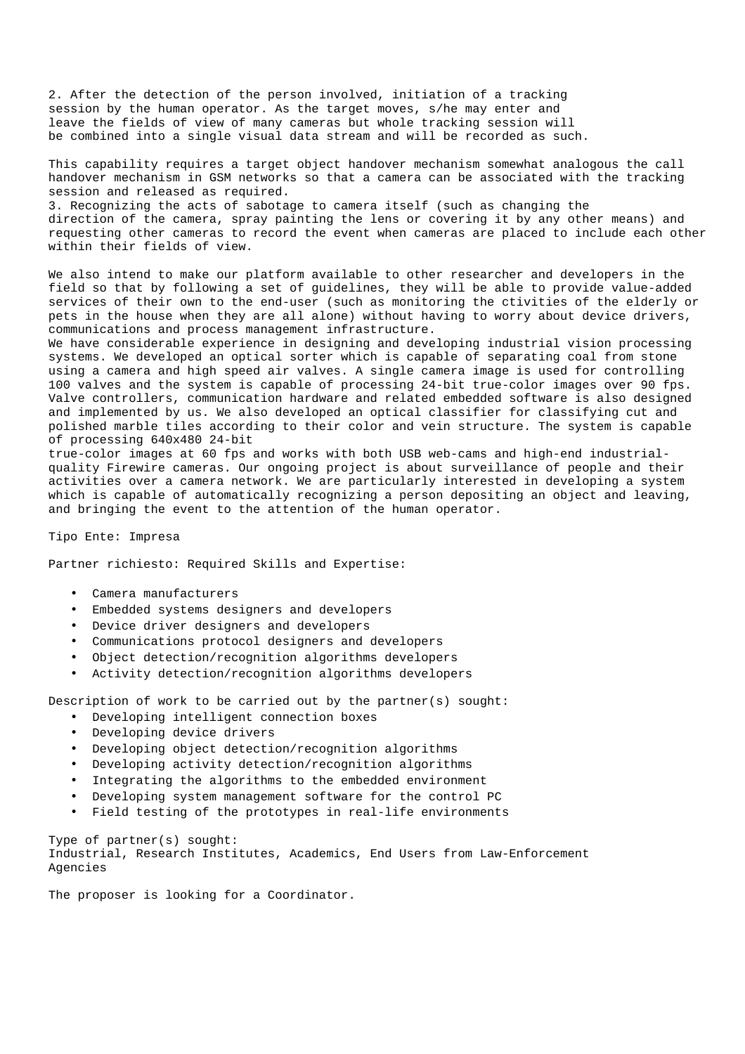2. After the detection of the person involved, initiation of a tracking session by the human operator. As the target moves, s/he may enter and leave the fields of view of many cameras but whole tracking session will be combined into a single visual data stream and will be recorded as such.

This capability requires a target object handover mechanism somewhat analogous the call handover mechanism in GSM networks so that a camera can be associated with the tracking session and released as required.

3. Recognizing the acts of sabotage to camera itself (such as changing the direction of the camera, spray painting the lens or covering it by any other means) and requesting other cameras to record the event when cameras are placed to include each other within their fields of view.

We also intend to make our platform available to other researcher and developers in the field so that by following a set of guidelines, they will be able to provide value-added services of their own to the end-user (such as monitoring the ctivities of the elderly or pets in the house when they are all alone) without having to worry about device drivers, communications and process management infrastructure.

We have considerable experience in designing and developing industrial vision processing systems. We developed an optical sorter which is capable of separating coal from stone using a camera and high speed air valves. A single camera image is used for controlling 100 valves and the system is capable of processing 24-bit true-color images over 90 fps. Valve controllers, communication hardware and related embedded software is also designed and implemented by us. We also developed an optical classifier for classifying cut and polished marble tiles according to their color and vein structure. The system is capable of processing 640x480 24-bit

true-color images at 60 fps and works with both USB web-cams and high-end industrialquality Firewire cameras. Our ongoing project is about surveillance of people and their activities over a camera network. We are particularly interested in developing a system which is capable of automatically recognizing a person depositing an object and leaving, and bringing the event to the attention of the human operator.

Tipo Ente: Impresa

Partner richiesto: Required Skills and Expertise:

- Camera manufacturers
- Embedded systems designers and developers
- Device driver designers and developers
- Communications protocol designers and developers
- Object detection/recognition algorithms developers
- Activity detection/recognition algorithms developers

Description of work to be carried out by the partner(s) sought:

- Developing intelligent connection boxes
- Developing device drivers
- Developing object detection/recognition algorithms
- Developing activity detection/recognition algorithms
- Integrating the algorithms to the embedded environment
- Developing system management software for the control PC
- Field testing of the prototypes in real-life environments

Type of partner(s) sought:

Industrial, Research Institutes, Academics, End Users from Law-Enforcement Agencies

The proposer is looking for a Coordinator.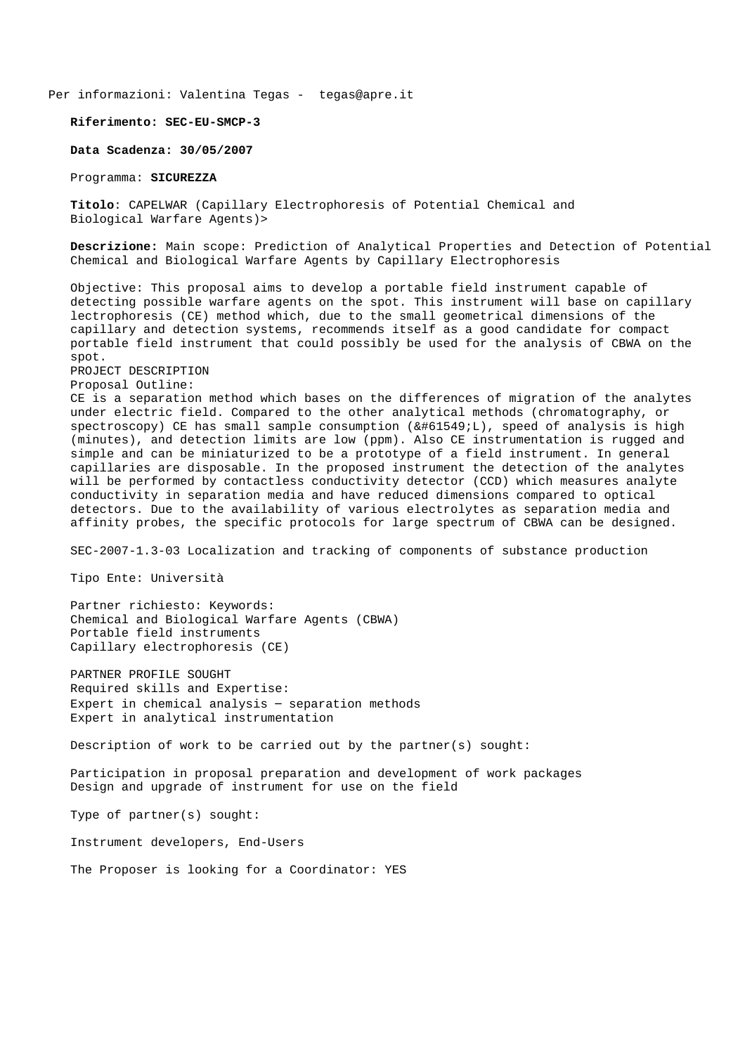**Riferimento: SEC-EU-SMCP-3**

**Data Scadenza: 30/05/2007** 

Programma: **SICUREZZA**

**Titolo**: CAPELWAR (Capillary Electrophoresis of Potential Chemical and Biological Warfare Agents)>

**Descrizione:** Main scope: Prediction of Analytical Properties and Detection of Potential Chemical and Biological Warfare Agents by Capillary Electrophoresis

Objective: This proposal aims to develop a portable field instrument capable of detecting possible warfare agents on the spot. This instrument will base on capillary lectrophoresis (CE) method which, due to the small geometrical dimensions of the capillary and detection systems, recommends itself as a good candidate for compact portable field instrument that could possibly be used for the analysis of CBWA on the spot.

PROJECT DESCRIPTION Proposal Outline:

CE is a separation method which bases on the differences of migration of the analytes under electric field. Compared to the other analytical methods (chromatography, or  $spectroscopy)$  CE has small sample consumption  $(k#61549:L)$ , speed of analysis is high (minutes), and detection limits are low (ppm). Also CE instrumentation is rugged and simple and can be miniaturized to be a prototype of a field instrument. In general capillaries are disposable. In the proposed instrument the detection of the analytes will be performed by contactless conductivity detector (CCD) which measures analyte conductivity in separation media and have reduced dimensions compared to optical detectors. Due to the availability of various electrolytes as separation media and affinity probes, the specific protocols for large spectrum of CBWA can be designed.

SEC-2007-1.3-03 Localization and tracking of components of substance production

Tipo Ente: Università

Partner richiesto: Keywords: Chemical and Biological Warfare Agents (CBWA) Portable field instruments Capillary electrophoresis (CE)

PARTNER PROFILE SOUGHT Required skills and Expertise: Expert in chemical analysis – separation methods Expert in analytical instrumentation

Description of work to be carried out by the partner(s) sought:

Participation in proposal preparation and development of work packages Design and upgrade of instrument for use on the field

Type of partner(s) sought:

Instrument developers, End-Users

The Proposer is looking for a Coordinator: YES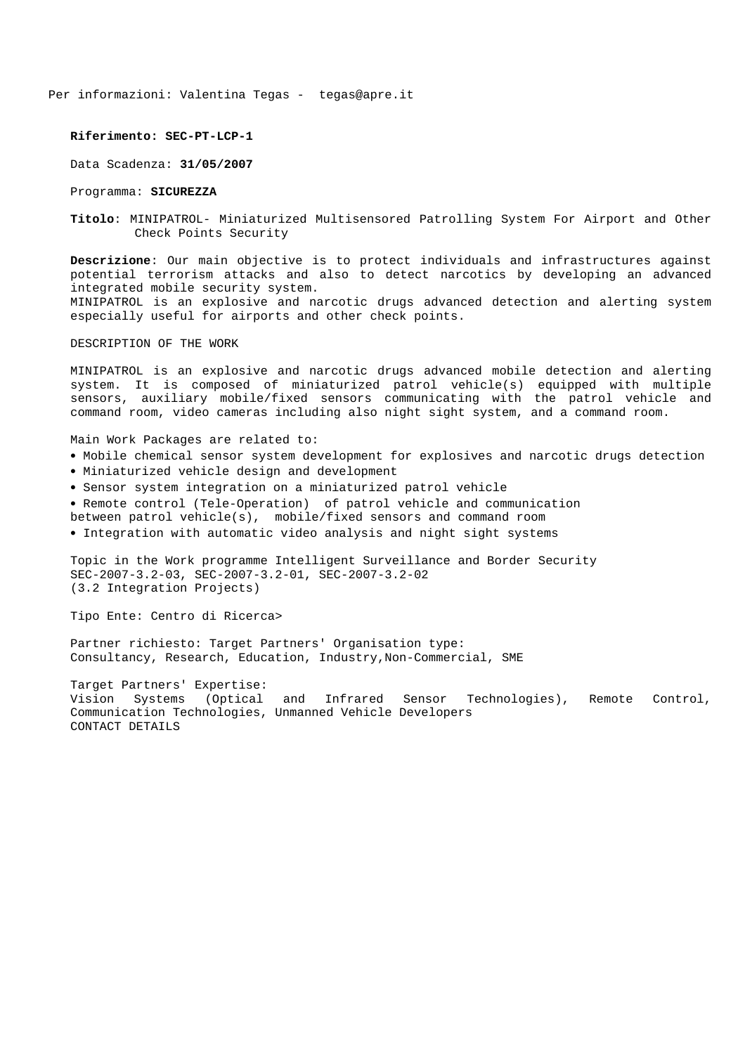#### **Riferimento: SEC-PT-LCP-1**

Data Scadenza: **31/05/2007**

Programma: **SICUREZZA** 

**Titolo**: MINIPATROL- Miniaturized Multisensored Patrolling System For Airport and Other Check Points Security

**Descrizione**: Our main objective is to protect individuals and infrastructures against potential terrorism attacks and also to detect narcotics by developing an advanced integrated mobile security system. MINIPATROL is an explosive and narcotic drugs advanced detection and alerting system especially useful for airports and other check points.

DESCRIPTION OF THE WORK

MINIPATROL is an explosive and narcotic drugs advanced mobile detection and alerting system. It is composed of miniaturized patrol vehicle(s) equipped with multiple sensors, auxiliary mobile/fixed sensors communicating with the patrol vehicle and command room, video cameras including also night sight system, and a command room.

Main Work Packages are related to:

- Mobile chemical sensor system development for explosives and narcotic drugs detection
- Miniaturized vehicle design and development
- Sensor system integration on a miniaturized patrol vehicle

• Remote control (Tele-Operation) of patrol vehicle and communication

between patrol vehicle(s), mobile/fixed sensors and command room

• Integration with automatic video analysis and night sight systems

Topic in the Work programme Intelligent Surveillance and Border Security SEC-2007-3.2-03, SEC-2007-3.2-01, SEC-2007-3.2-02 (3.2 Integration Projects)

Tipo Ente: Centro di Ricerca>

Partner richiesto: Target Partners' Organisation type: Consultancy, Research, Education, Industry,Non-Commercial, SME

Target Partners' Expertise: Vision Systems (Optical and Infrared Sensor Technologies), Remote Control, Communication Technologies, Unmanned Vehicle Developers CONTACT DETAILS